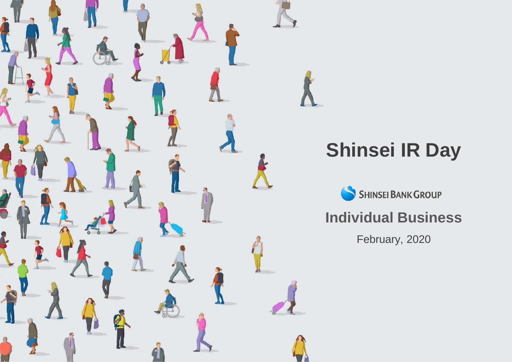

# **Shinsei IR Day**

SHINSEI BANK GROUP

#### **Individual Business**

February, 2020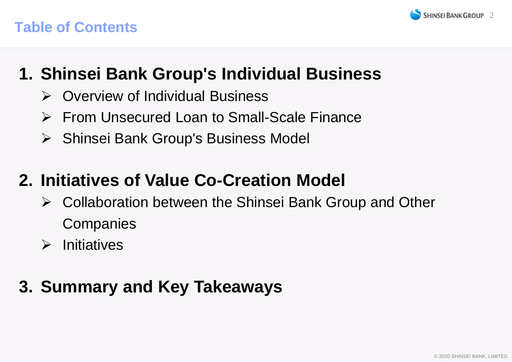



## **1. Shinsei Bank Group's Individual Business**

- $\triangleright$  Overview of Individual Business
- From Unsecured Loan to Small-Scale Finance
- ▶ Shinsei Bank Group's Business Model

## **2. Initiatives of Value Co-Creation Model**

- Collaboration between the Shinsei Bank Group and Other **Companies**
- $\triangleright$  Initiatives

## **3. Summary and Key Takeaways**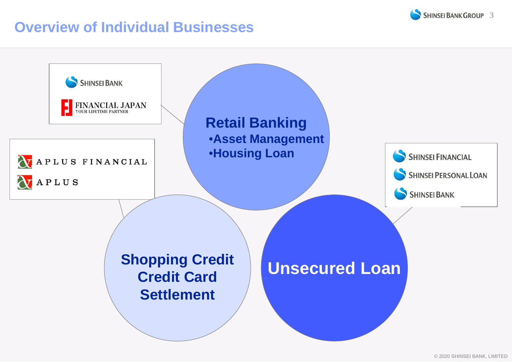

#### **Overview of Individual Businesses**

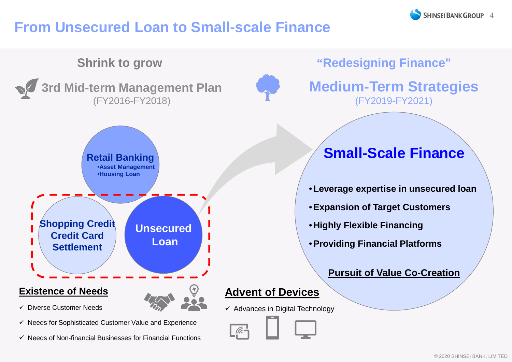### **From Unsecured Loan to Small-scale Finance**

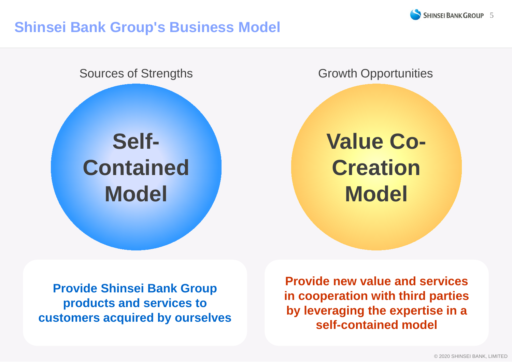

#### **Shinsei Bank Group's Business Model**



**Provide Shinsei Bank Group products and services to customers acquired by ourselves**

**Provide new value and services in cooperation with third parties by leveraging the expertise in a self-contained model**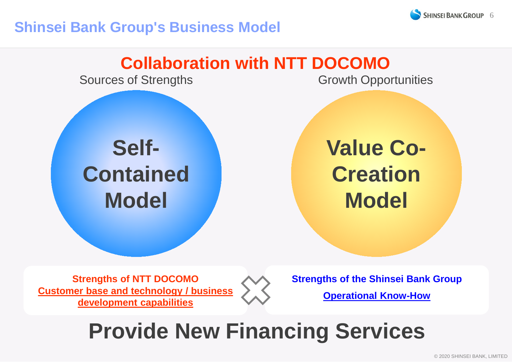

#### **Shinsei Bank Group's Business Model**



## **Provide New Financing Services**

© 2020 SHINSEI BANK, LIMITED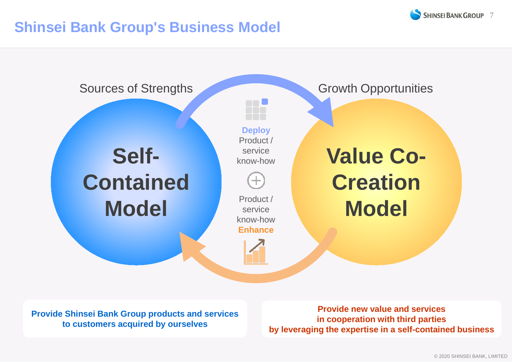

#### **Shinsei Bank Group's Business Model**



**Provide Shinsei Bank Group products and services to customers acquired by ourselves**

**Provide new value and services in cooperation with third parties by leveraging the expertise in a self-contained business**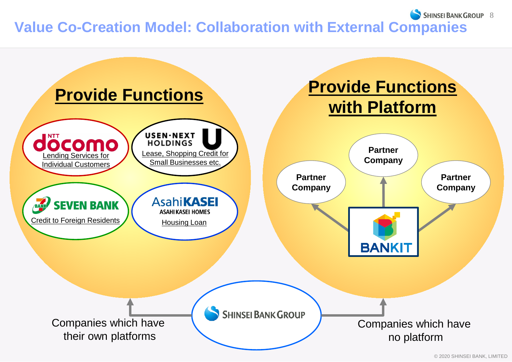#### SHINSEI BANK GROUP 8 **Value Co-Creation Model: Collaboration with External Companies**

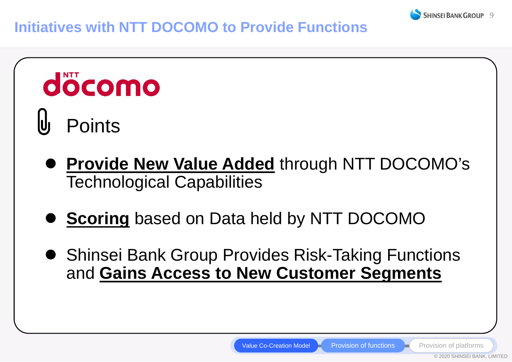

#### **Initiatives with NTT DOCOMO to Provide Functions**

# döcomo **Points**

- **Provide New Value Added** through NTT DOCOMO's Technological Capabilities
- **Scoring** based on Data held by NTT DOCOMO
- Shinsei Bank Group Provides Risk-Taking Functions and **Gains Access to New Customer Segments**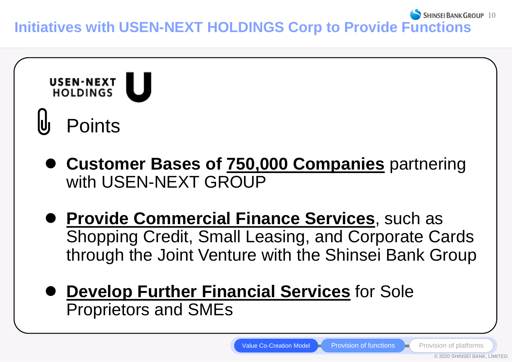

- **Provide Commercial Finance Services**, such as Shopping Credit, Small Leasing, and Corporate Cards through the Joint Venture with the Shinsei Bank Group
- **Develop Further Financial Services** for Sole Proprietors and SMEs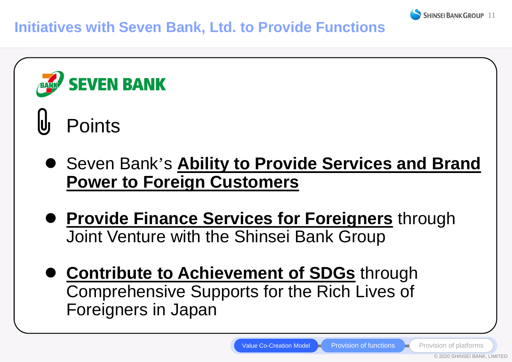



- **Provide Finance Services for Foreigners** through Joint Venture with the Shinsei Bank Group
- **Contribute to Achievement of SDGs through** Comprehensive Supports for the Rich Lives of Foreigners in Japan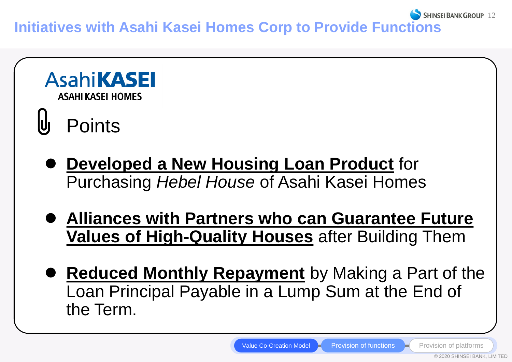**SHINSEI BANK GROUP 12 Initiatives with Asahi Kasei Homes Corp to Provide Functions**



 **Reduced Monthly Repayment** by Making a Part of the Loan Principal Payable in a Lump Sum at the End of the Term.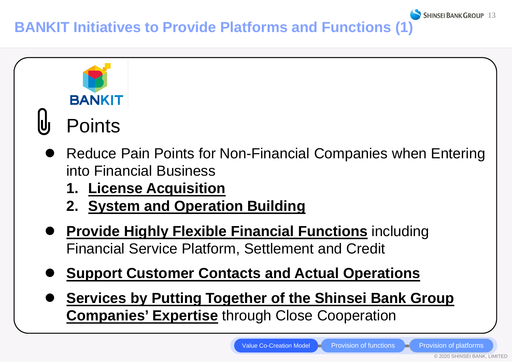**BANKIT Initiatives to Provide Platforms and Functions (1)**



- **Support Customer Contacts and Actual Operations**
- **Services by Putting Together of the Shinsei Bank Group Companies' Expertise through Close Cooperation**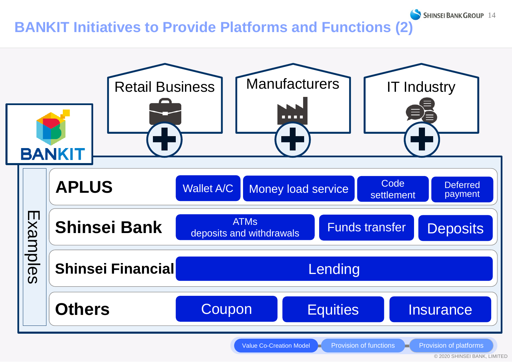#### **BANKIT Initiatives to Provide Platforms and Functions (2)**



© 2020 SHINSEI BANK, LIMITED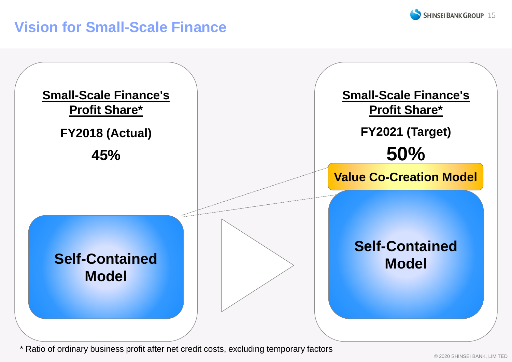#### **Vision for Small-Scale Finance**



\* Ratio of ordinary business profit after net credit costs, excluding temporary factors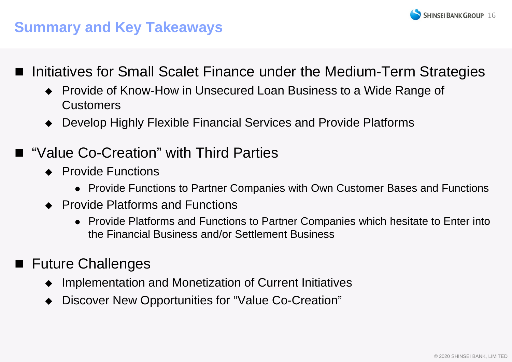

#### **Summary and Key Takeaways**

- Initiatives for Small Scalet Finance under the Medium-Term Strategies
	- ◆ Provide of Know-How in Unsecured Loan Business to a Wide Range of Customers
	- Develop Highly Flexible Financial Services and Provide Platforms
- "Value Co-Creation" with Third Parties
	- ◆ Provide Functions
		- Provide Functions to Partner Companies with Own Customer Bases and Functions
	- ▸ Provide Platforms and Functions
		- Provide Platforms and Functions to Partner Companies which hesitate to Enter into the Financial Business and/or Settlement Business
- **Future Challenges** 
	- Implementation and Monetization of Current Initiatives
	- Discover New Opportunities for "Value Co-Creation"